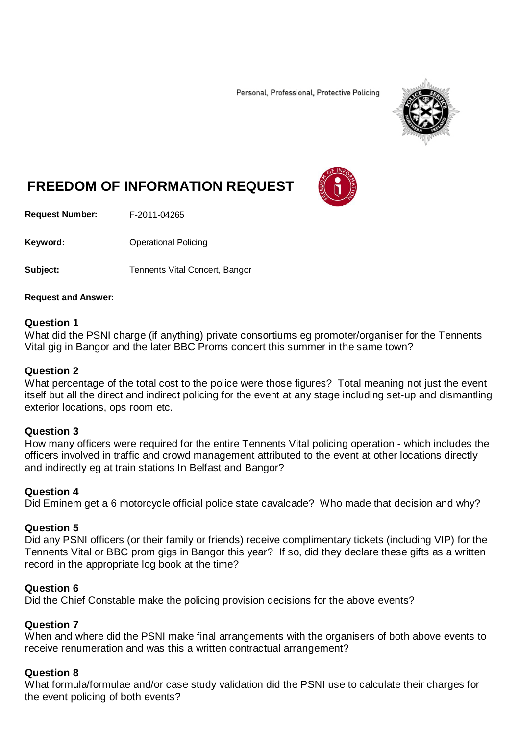Personal, Professional, Protective Policing



# **FREEDOM OF INFORMATION REQUEST**

**Request Number:** F-2011-04265

Keyword: **Calcular Contract Contract Contract Contract Contract Contract Contract Contract Contract Contract Contract Contract Contract Contract Contract Contract Contract Contract Contract Contract Contract Contract Contr** 

**Subject:** Tennents Vital Concert, Bangor

#### **Request and Answer:**

#### **Question 1**

What did the PSNI charge (if anything) private consortiums eg promoter/organiser for the Tennents Vital gig in Bangor and the later BBC Proms concert this summer in the same town?

#### **Question 2**

What percentage of the total cost to the police were those figures? Total meaning not just the event itself but all the direct and indirect policing for the event at any stage including set-up and dismantling exterior locations, ops room etc.

#### **Question 3**

How many officers were required for the entire Tennents Vital policing operation - which includes the officers involved in traffic and crowd management attributed to the event at other locations directly and indirectly eg at train stations In Belfast and Bangor?

#### **Question 4**

Did Eminem get a 6 motorcycle official police state cavalcade? Who made that decision and why?

#### **Question 5**

Did any PSNI officers (or their family or friends) receive complimentary tickets (including VIP) for the Tennents Vital or BBC prom gigs in Bangor this year? If so, did they declare these gifts as a written record in the appropriate log book at the time?

#### **Question 6**

Did the Chief Constable make the policing provision decisions for the above events?

#### **Question 7**

When and where did the PSNI make final arrangements with the organisers of both above events to receive renumeration and was this a written contractual arrangement?

#### **Question 8**

What formula/formulae and/or case study validation did the PSNI use to calculate their charges for the event policing of both events?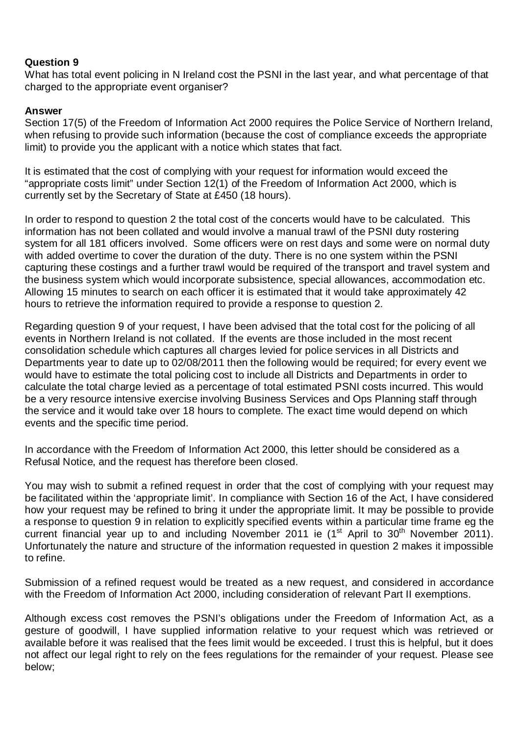# **Question 9**

What has total event policing in N Ireland cost the PSNI in the last year, and what percentage of that charged to the appropriate event organiser?

# **Answer**

Section 17(5) of the Freedom of Information Act 2000 requires the Police Service of Northern Ireland, when refusing to provide such information (because the cost of compliance exceeds the appropriate limit) to provide you the applicant with a notice which states that fact.

It is estimated that the cost of complying with your request for information would exceed the "appropriate costs limit" under Section 12(1) of the Freedom of Information Act 2000, which is currently set by the Secretary of State at £450 (18 hours).

In order to respond to question 2 the total cost of the concerts would have to be calculated. This information has not been collated and would involve a manual trawl of the PSNI duty rostering system for all 181 officers involved. Some officers were on rest days and some were on normal duty with added overtime to cover the duration of the duty. There is no one system within the PSNI capturing these costings and a further trawl would be required of the transport and travel system and the business system which would incorporate subsistence, special allowances, accommodation etc. Allowing 15 minutes to search on each officer it is estimated that it would take approximately 42 hours to retrieve the information required to provide a response to question 2.

Regarding question 9 of your request, I have been advised that the total cost for the policing of all events in Northern Ireland is not collated.If the events are those included in the most recent consolidation schedule which captures all charges levied for police services in all Districts and Departments year to date up to 02/08/2011 then the following would be required; for every event we would have to estimate the total policing cost to include all Districts and Departments in order to calculate the total charge levied as a percentage of total estimated PSNI costs incurred. This would be a very resource intensive exercise involving Business Services and Ops Planning staff through the service and it would take over 18 hours to complete. The exact time would depend on which events and the specific time period.

In accordance with the Freedom of Information Act 2000, this letter should be considered as a Refusal Notice, and the request has therefore been closed.

You may wish to submit a refined request in order that the cost of complying with your request may be facilitated within the 'appropriate limit'. In compliance with Section 16 of the Act, I have considered how your request may be refined to bring it under the appropriate limit. It may be possible to provide a response to question 9 in relation to explicitly specified events within a particular time frame eg the current financial year up to and including November 2011 ie (1<sup>st</sup> April to 30<sup>th</sup> November 2011). Unfortunately the nature and structure of the information requested in question 2 makes it impossible to refine.

Submission of a refined request would be treated as a new request, and considered in accordance with the Freedom of Information Act 2000, including consideration of relevant Part II exemptions.

Although excess cost removes the PSNI's obligations under the Freedom of Information Act, as a gesture of goodwill, I have supplied information relative to your request which was retrieved or available before it was realised that the fees limit would be exceeded. I trust this is helpful, but it does not affect our legal right to rely on the fees regulations for the remainder of your request. Please see below;